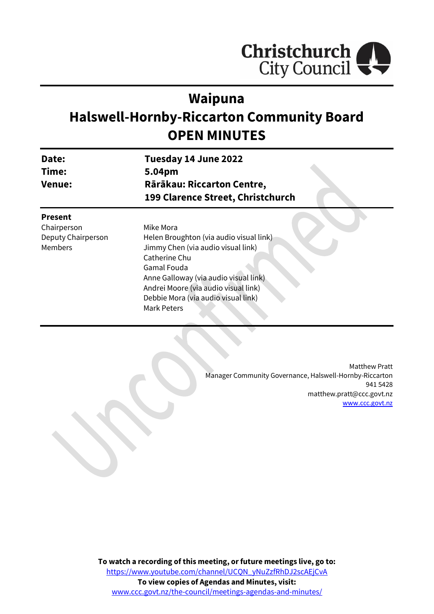

# **Waipuna**

# **Halswell-Hornby-Riccarton Community Board OPEN MINUTES**

| Date:         | Tuesday 14 June 2022              |
|---------------|-----------------------------------|
| Time:         | 5.04pm                            |
| <b>Venue:</b> | Rārākau: Riccarton Centre,        |
|               | 199 Clarence Street, Christchurch |

## **Present**

Chairperson Deputy Chairperson Members

Mike Mora Helen Broughton (via audio visual link) Jimmy Chen (via audio visual link) Catherine Chu Gamal Fouda Anne Galloway (via audio visual link) Andrei Moore (via audio visual link) Debbie Mora (via audio visual link) Mark Peters

> Matthew Pratt Manager Community Governance, Halswell-Hornby-Riccarton 941 5428 matthew.pratt@ccc.govt.nz [www.ccc.govt.nz](http://www.ccc.govt.nz/)

**To watch a recording of this meeting, or future meetings live, go to:** [https://www.youtube.com/channel/UCQN\\_yNuZzfRhDJ2scAEjCvA](https://aus01.safelinks.protection.outlook.com/?url=https%3A%2F%2Fwww.youtube.com%2Fchannel%2FUCQN_yNuZzfRhDJ2scAEjCvA&data=05%7C01%7CMatthew.Boult%40ccc.govt.nz%7C5a1a543348e149173c2608da3df8ac16%7C45c97e4ebd8d4ddcbd6e2d62daa2a011%7C0%7C0%7C637890435492430387%7CUnknown%7CTWFpbGZsb3d8eyJWIjoiMC4wLjAwMDAiLCJQIjoiV2luMzIiLCJBTiI6Ik1haWwiLCJXVCI6Mn0%3D%7C3000%7C%7C%7C&sdata=01L7MMCJpm9zVOSB0TMcF7zoqP12UB72ILOAtv63Tq0%3D&reserved=0) **To view copies of Agendas and Minutes, visit:** [www.ccc.govt.nz/the-council/meetings-agendas-and-minutes/](https://www.ccc.govt.nz/the-council/meetings-agendas-and-minutes/)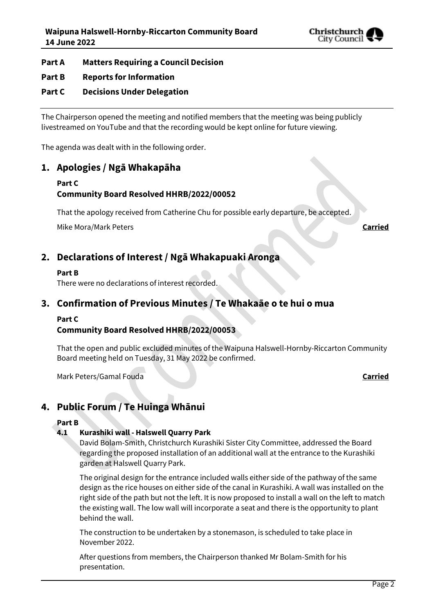

## **Part A Matters Requiring a Council Decision**

## **Part B Reports for Information**

## **Part C Decisions Under Delegation**

The Chairperson opened the meeting and notified members that the meeting was being publicly livestreamed on YouTube and that the recording would be kept online for future viewing.

The agenda was dealt with in the following order.

## **1. Apologies / Ngā Whakapāha**

## **Part C**

## **Community Board Resolved HHRB/2022/00052**

That the apology received from Catherine Chu for possible early departure, be accepted.

Mike Mora/Mark Peters **Carried**

## **2. Declarations of Interest / Ngā Whakapuaki Aronga**

#### **Part B**

There were no declarations of interest recorded.

## **3. Confirmation of Previous Minutes / Te Whakaāe o te hui o mua**

#### **Part C**

## **Community Board Resolved HHRB/2022/00053**

That the open and public excluded minutes of the Waipuna Halswell-Hornby-Riccarton Community Board meeting held on Tuesday, 31 May 2022 be confirmed.

Mark Peters/Gamal Fouda **Carried**

## **4. Public Forum / Te Huinga Whānui**

## **Part B**

## **4.1 Kurashiki wall - Halswell Quarry Park**

David Bolam-Smith, Christchurch Kurashiki Sister City Committee, addressed the Board regarding the proposed installation of an additional wall at the entrance to the Kurashiki garden at Halswell Quarry Park.

The original design for the entrance included walls either side of the pathway of the same design as the rice houses on either side of the canal in Kurashiki. A wall was installed on the right side of the path but not the left. It is now proposed to install a wall on the left to match the existing wall. The low wall will incorporate a seat and there is the opportunity to plant behind the wall.

The construction to be undertaken by a stonemason, is scheduled to take place in November 2022.

After questions from members, the Chairperson thanked Mr Bolam-Smith for his presentation.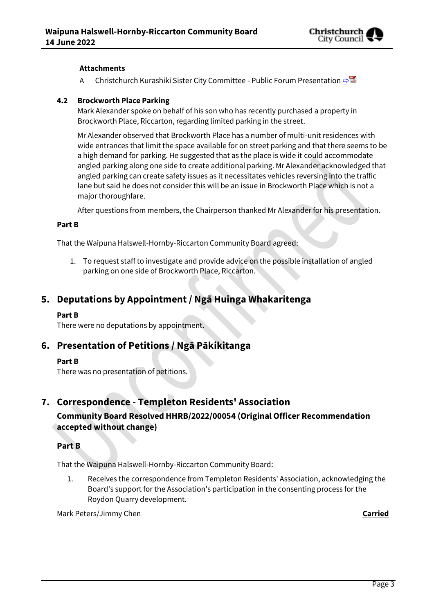

## **Attachments**

A Christchurch Kurashiki Sister City Committee - Public Forum Presentation  $\triangle^{\boxtimes}$ 

## **4.2 Brockworth Place Parking**

Mark Alexander spoke on behalf of his son who has recently purchased a property in Brockworth Place, Riccarton, regarding limited parking in the street.

Mr Alexander observed that Brockworth Place has a number of multi-unit residences with wide entrances that limit the space available for on street parking and that there seems to be a high demand for parking. He suggested that as the place is wide it could accommodate angled parking along one side to create additional parking. Mr Alexander acknowledged that angled parking can create safety issues as it necessitates vehicles reversing into the traffic lane but said he does not consider this will be an issue in Brockworth Place which is not a major thoroughfare.

After questions from members, the Chairperson thanked Mr Alexander for his presentation.

#### **Part B**

That the Waipuna Halswell-Hornby-Riccarton Community Board agreed:

1. To request staff to investigate and provide advice on the possible installation of angled parking on one side of Brockworth Place, Riccarton.

## **5. Deputations by Appointment / Ngā Huinga Whakaritenga**

## **Part B**

There were no deputations by appointment.

## **6. Presentation of Petitions / Ngā Pākikitanga**

## **Part B**

There was no presentation of petitions.

## **7. Correspondence - Templeton Residents' Association Community Board Resolved HHRB/2022/00054 (Original Officer Recommendation accepted without change)**

## **Part B**

That the Waipuna Halswell-Hornby-Riccarton Community Board:

1. Receives the correspondence from Templeton Residents' Association, acknowledging the Board's support for the Association's participation in the consenting process for the Roydon Quarry development.

Mark Peters/Jimmy Chen **Carried**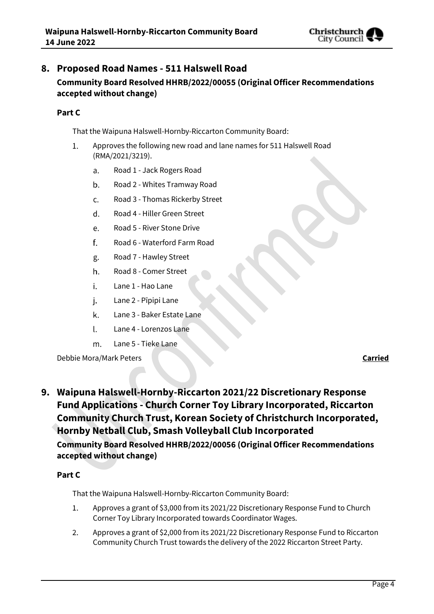

## **8. Proposed Road Names - 511 Halswell Road Community Board Resolved HHRB/2022/00055 (Original Officer Recommendations accepted without change)**

## **Part C**

That the Waipuna Halswell-Hornby-Riccarton Community Board:

- Approves the following new road and lane names for 511 Halswell Road  $1.$ (RMA/2021/3219).
	- Road 1 Jack Rogers Road a.
	- Road 2 Whites Tramway Road  $b.$
	- c. Road 3 - Thomas Rickerby Street
	- Road 4 Hiller Green Street d.
	- Road 5 River Stone Drive e.
	- f. Road 6 - Waterford Farm Road
	- Road 7 Hawley Street g.
	- Road 8 Comer Street h.
	- i. Lane 1 - Hao Lane
	- Lane 2 Pīpipi Lane j.
	- k. Lane 3 - Baker Estate Lane
	- Lane 4 Lorenzos Lane  $\mathsf{L}$
	- m. Lane 5 - Tieke Lane

Debbie Mora/Mark Peters **Carried**

**9. Waipuna Halswell-Hornby-Riccarton 2021/22 Discretionary Response Fund Applications - Church Corner Toy Library Incorporated, Riccarton Community Church Trust, Korean Society of Christchurch Incorporated, Hornby Netball Club, Smash Volleyball Club Incorporated Community Board Resolved HHRB/2022/00056 (Original Officer Recommendations accepted without change)**

## **Part C**

That the Waipuna Halswell-Hornby-Riccarton Community Board:

- $1<sup>1</sup>$ Approves a grant of \$3,000 from its 2021/22 Discretionary Response Fund to Church Corner Toy Library Incorporated towards Coordinator Wages.
- 2. Approves a grant of \$2,000 from its 2021/22 Discretionary Response Fund to Riccarton Community Church Trust towards the delivery of the 2022 Riccarton Street Party.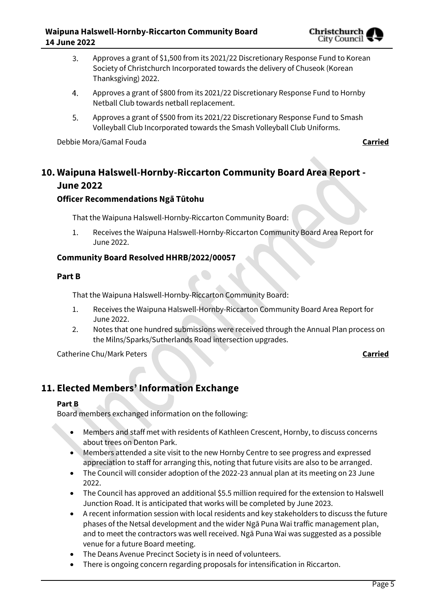

- Approves a grant of \$1,500 from its 2021/22 Discretionary Response Fund to Korean  $3.$ Society of Christchurch Incorporated towards the delivery of Chuseok (Korean Thanksgiving) 2022.
- $4.$ Approves a grant of \$800 from its 2021/22 Discretionary Response Fund to Hornby Netball Club towards netball replacement.
- 5. Approves a grant of \$500 from its 2021/22 Discretionary Response Fund to Smash Volleyball Club Incorporated towards the Smash Volleyball Club Uniforms.

Debbie Mora/Gamal Fouda **Carried**

## **10. Waipuna Halswell-Hornby-Riccarton Community Board Area Report - June 2022**

## **Officer Recommendations Ngā Tūtohu**

That the Waipuna Halswell-Hornby-Riccarton Community Board:

Receives the Waipuna Halswell-Hornby-Riccarton Community Board Area Report for 1. June 2022.

## **Community Board Resolved HHRB/2022/00057**

## **Part B**

That the Waipuna Halswell-Hornby-Riccarton Community Board:

- 1. Receives the Waipuna Halswell-Hornby-Riccarton Community Board Area Report for June 2022.
- 2. Notes that one hundred submissions were received through the Annual Plan process on the Milns/Sparks/Sutherlands Road intersection upgrades.

Catherine Chu/Mark Peters **Carried**

## **11. Elected Members' Information Exchange**

## **Part B**

Board members exchanged information on the following:

- Members and staff met with residents of Kathleen Crescent, Hornby, to discuss concerns about trees on Denton Park.
- Members attended a site visit to the new Hornby Centre to see progress and expressed appreciation to staff for arranging this, noting that future visits are also to be arranged.
- The Council will consider adoption of the 2022-23 annual plan at its meeting on 23 June 2022.
- The Council has approved an additional \$5.5 million required for the extension to Halswell Junction Road. It is anticipated that works will be completed by June 2023.
- A recent information session with local residents and key stakeholders to discuss the future phases of the Netsal development and the wider Ngā Puna Wai traffic management plan, and to meet the contractors was well received. Ngā Puna Wai was suggested as a possible venue for a future Board meeting.
- The Deans Avenue Precinct Society is in need of volunteers.
- There is ongoing concern regarding proposals for intensification in Riccarton.